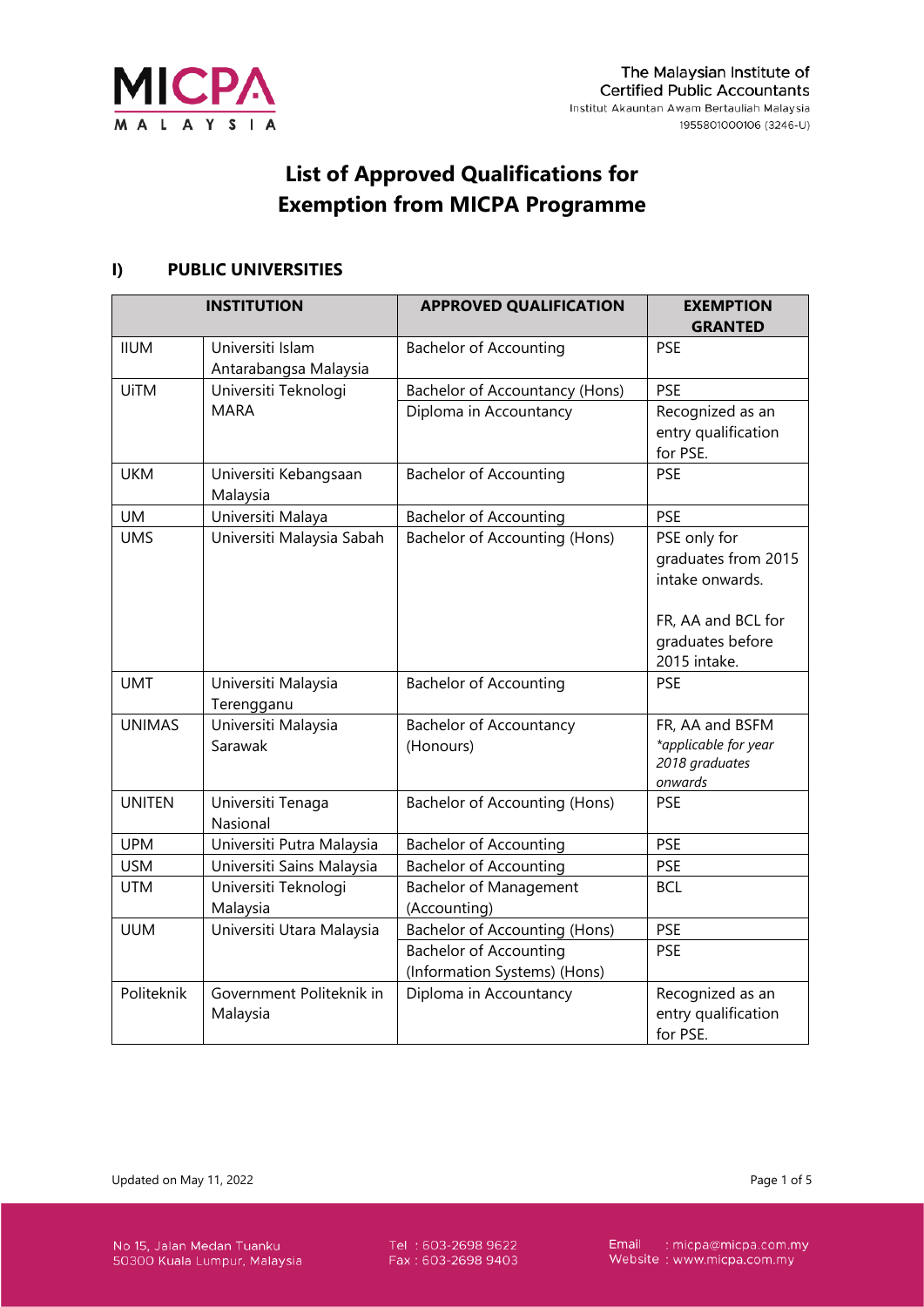

# **List of Approved Qualifications for Exemption from MICPA Programme**

#### **I) PUBLIC UNIVERSITIES**

|               | <b>INSTITUTION</b>                   | <b>APPROVED QUALIFICATION</b>                                 | <b>EXEMPTION</b><br><b>GRANTED</b>                                                                               |
|---------------|--------------------------------------|---------------------------------------------------------------|------------------------------------------------------------------------------------------------------------------|
| <b>IIUM</b>   | Universiti Islam                     | <b>Bachelor of Accounting</b>                                 | <b>PSE</b>                                                                                                       |
|               | Antarabangsa Malaysia                |                                                               |                                                                                                                  |
| <b>UiTM</b>   | Universiti Teknologi                 | <b>Bachelor of Accountancy (Hons)</b>                         | <b>PSE</b>                                                                                                       |
|               | <b>MARA</b>                          | Diploma in Accountancy                                        | Recognized as an<br>entry qualification<br>for PSE.                                                              |
| <b>UKM</b>    | Universiti Kebangsaan<br>Malaysia    | <b>Bachelor of Accounting</b>                                 | <b>PSE</b>                                                                                                       |
| <b>UM</b>     | Universiti Malaya                    | <b>Bachelor of Accounting</b>                                 | <b>PSE</b>                                                                                                       |
| <b>UMS</b>    | Universiti Malaysia Sabah            | <b>Bachelor of Accounting (Hons)</b>                          | PSE only for<br>graduates from 2015<br>intake onwards.<br>FR, AA and BCL for<br>graduates before<br>2015 intake. |
| <b>UMT</b>    | Universiti Malaysia<br>Terengganu    | <b>Bachelor of Accounting</b>                                 | <b>PSE</b>                                                                                                       |
| <b>UNIMAS</b> | Universiti Malaysia                  | <b>Bachelor of Accountancy</b>                                | FR, AA and BSFM                                                                                                  |
|               | Sarawak                              | (Honours)                                                     | *applicable for year<br>2018 graduates<br>onwards                                                                |
| <b>UNITEN</b> | Universiti Tenaga<br>Nasional        | Bachelor of Accounting (Hons)                                 | <b>PSE</b>                                                                                                       |
| <b>UPM</b>    | Universiti Putra Malaysia            | <b>Bachelor of Accounting</b>                                 | <b>PSE</b>                                                                                                       |
| <b>USM</b>    | Universiti Sains Malaysia            | <b>Bachelor of Accounting</b>                                 | <b>PSE</b>                                                                                                       |
| <b>UTM</b>    | Universiti Teknologi<br>Malaysia     | <b>Bachelor of Management</b><br>(Accounting)                 | <b>BCL</b>                                                                                                       |
| <b>UUM</b>    | Universiti Utara Malaysia            | <b>Bachelor of Accounting (Hons)</b>                          | <b>PSE</b>                                                                                                       |
|               |                                      | <b>Bachelor of Accounting</b><br>(Information Systems) (Hons) | <b>PSE</b>                                                                                                       |
| Politeknik    | Government Politeknik in<br>Malaysia | Diploma in Accountancy                                        | Recognized as an<br>entry qualification<br>for PSE.                                                              |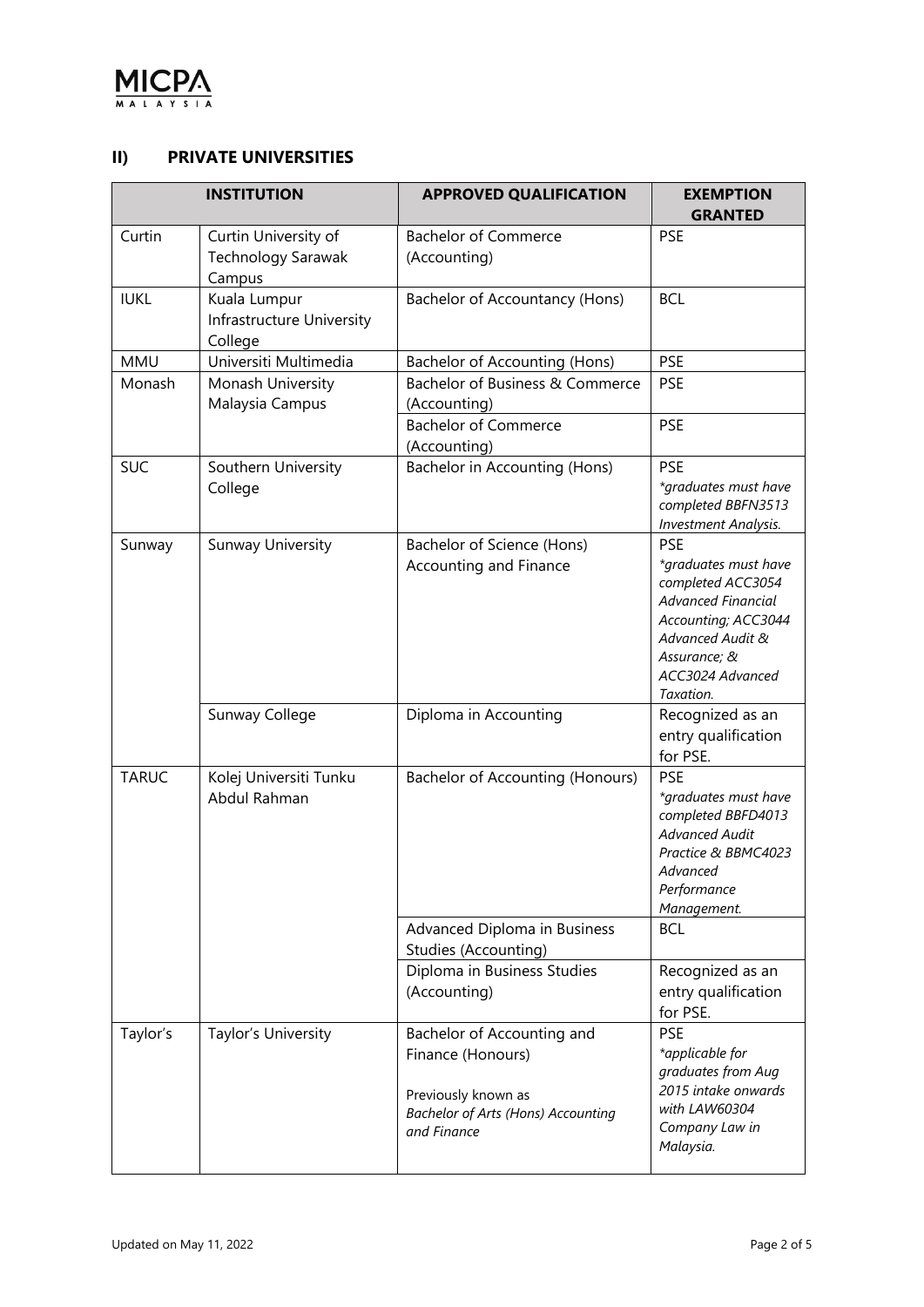

#### **II) PRIVATE UNIVERSITIES**

|              | <b>INSTITUTION</b>                                   | <b>APPROVED QUALIFICATION</b>                                                                                                      | <b>EXEMPTION</b><br><b>GRANTED</b>                                                                                                                                               |
|--------------|------------------------------------------------------|------------------------------------------------------------------------------------------------------------------------------------|----------------------------------------------------------------------------------------------------------------------------------------------------------------------------------|
| Curtin       | Curtin University of<br>Technology Sarawak<br>Campus | <b>Bachelor of Commerce</b><br>(Accounting)                                                                                        | <b>PSE</b>                                                                                                                                                                       |
| <b>IUKL</b>  | Kuala Lumpur<br>Infrastructure University<br>College | Bachelor of Accountancy (Hons)                                                                                                     | <b>BCL</b>                                                                                                                                                                       |
| <b>MMU</b>   | Universiti Multimedia                                | Bachelor of Accounting (Hons)                                                                                                      | <b>PSE</b>                                                                                                                                                                       |
| Monash       | Monash University<br>Malaysia Campus                 | Bachelor of Business & Commerce<br>(Accounting)                                                                                    | <b>PSE</b>                                                                                                                                                                       |
|              |                                                      | <b>Bachelor of Commerce</b><br>(Accounting)                                                                                        | <b>PSE</b>                                                                                                                                                                       |
| <b>SUC</b>   | Southern University<br>College                       | Bachelor in Accounting (Hons)                                                                                                      | <b>PSE</b><br>*graduates must have<br>completed BBFN3513<br><b>Investment Analysis.</b>                                                                                          |
| Sunway       | Sunway University                                    | Bachelor of Science (Hons)<br>Accounting and Finance                                                                               | <b>PSE</b><br>*graduates must have<br>completed ACC3054<br><b>Advanced Financial</b><br>Accounting; ACC3044<br>Advanced Audit &<br>Assurance; &<br>ACC3024 Advanced<br>Taxation. |
|              | Sunway College                                       | Diploma in Accounting                                                                                                              | Recognized as an<br>entry qualification<br>for PSE.                                                                                                                              |
| <b>TARUC</b> | Kolej Universiti Tunku<br>Abdul Rahman               | <b>Bachelor of Accounting (Honours)</b>                                                                                            | <b>PSE</b><br>*graduates must have<br>completed BBFD4013<br><b>Advanced Audit</b><br>Practice & BBMC4023<br>Advanced<br>Performance<br>Management.                               |
|              |                                                      | Advanced Diploma in Business<br>Studies (Accounting)                                                                               | <b>BCL</b>                                                                                                                                                                       |
|              |                                                      | Diploma in Business Studies<br>(Accounting)                                                                                        | Recognized as an<br>entry qualification<br>for PSE.                                                                                                                              |
| Taylor's     | Taylor's University                                  | Bachelor of Accounting and<br>Finance (Honours)<br>Previously known as<br><b>Bachelor of Arts (Hons) Accounting</b><br>and Finance | <b>PSE</b><br>*applicable for<br>graduates from Aug<br>2015 intake onwards<br>with LAW60304<br>Company Law in<br>Malaysia.                                                       |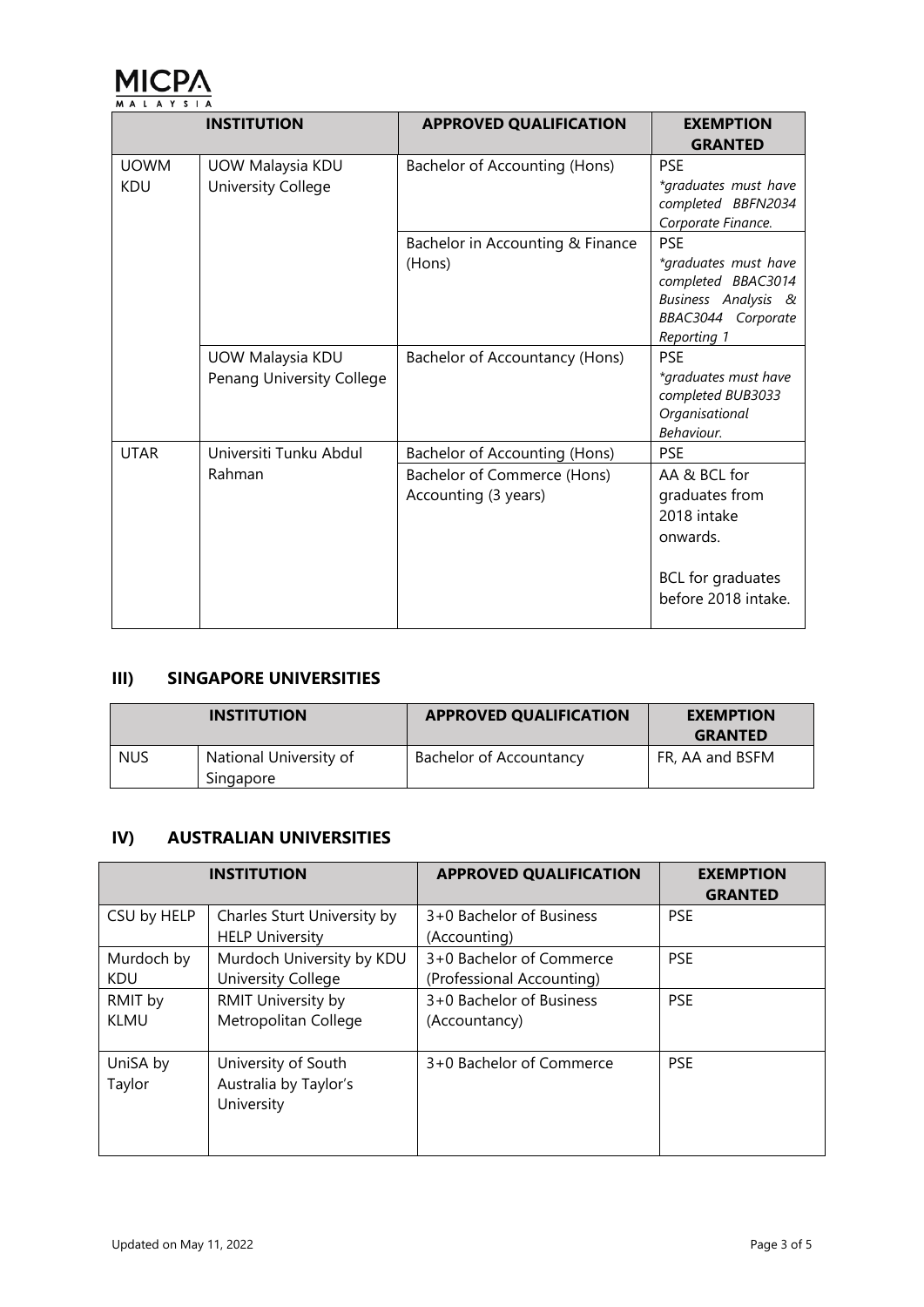

|                           | <b>INSTITUTION</b>                            | <b>APPROVED QUALIFICATION</b>                       | <b>EXEMPTION</b>                                                                                       |
|---------------------------|-----------------------------------------------|-----------------------------------------------------|--------------------------------------------------------------------------------------------------------|
|                           |                                               |                                                     | <b>GRANTED</b>                                                                                         |
| <b>UOWM</b><br><b>KDU</b> | UOW Malaysia KDU<br>University College        | Bachelor of Accounting (Hons)                       | <b>PSE</b><br>*graduates must have<br>completed BBFN2034<br>Corporate Finance.                         |
|                           |                                               | Bachelor in Accounting & Finance                    | <b>PSE</b>                                                                                             |
|                           |                                               | (Hons)                                              | *graduates must have<br>completed BBAC3014<br>Business Analysis &<br>BBAC3044 Corporate<br>Reporting 1 |
|                           | UOW Malaysia KDU<br>Penang University College | Bachelor of Accountancy (Hons)                      | <b>PSE</b><br>*graduates must have<br>completed BUB3033<br>Organisational<br>Behaviour.                |
| <b>UTAR</b>               | Universiti Tunku Abdul                        | <b>Bachelor of Accounting (Hons)</b>                | <b>PSE</b>                                                                                             |
|                           | Rahman                                        | Bachelor of Commerce (Hons)<br>Accounting (3 years) | AA & BCL for<br>graduates from<br>2018 intake<br>onwards.<br>BCL for graduates<br>before 2018 intake.  |

# **III) SINGAPORE UNIVERSITIES**

|            | <b>INSTITUTION</b>                  | <b>APPROVED QUALIFICATION</b> | <b>EXEMPTION</b><br><b>GRANTED</b> |
|------------|-------------------------------------|-------------------------------|------------------------------------|
| <b>NUS</b> | National University of<br>Singapore | Bachelor of Accountancy       | FR, AA and BSFM                    |

### **IV) AUSTRALIAN UNIVERSITIES**

|                          | <b>INSTITUTION</b>                                         | <b>APPROVED QUALIFICATION</b>                         | <b>EXEMPTION</b><br><b>GRANTED</b> |
|--------------------------|------------------------------------------------------------|-------------------------------------------------------|------------------------------------|
| CSU by HELP              | Charles Sturt University by<br><b>HELP University</b>      | 3+0 Bachelor of Business<br>(Accounting)              | <b>PSE</b>                         |
| Murdoch by<br><b>KDU</b> | Murdoch University by KDU<br>University College            | 3+0 Bachelor of Commerce<br>(Professional Accounting) | <b>PSE</b>                         |
| RMIT by<br><b>KLMU</b>   | RMIT University by<br>Metropolitan College                 | 3+0 Bachelor of Business<br>(Accountancy)             | <b>PSE</b>                         |
| UniSA by<br>Taylor       | University of South<br>Australia by Taylor's<br>University | 3+0 Bachelor of Commerce                              | <b>PSE</b>                         |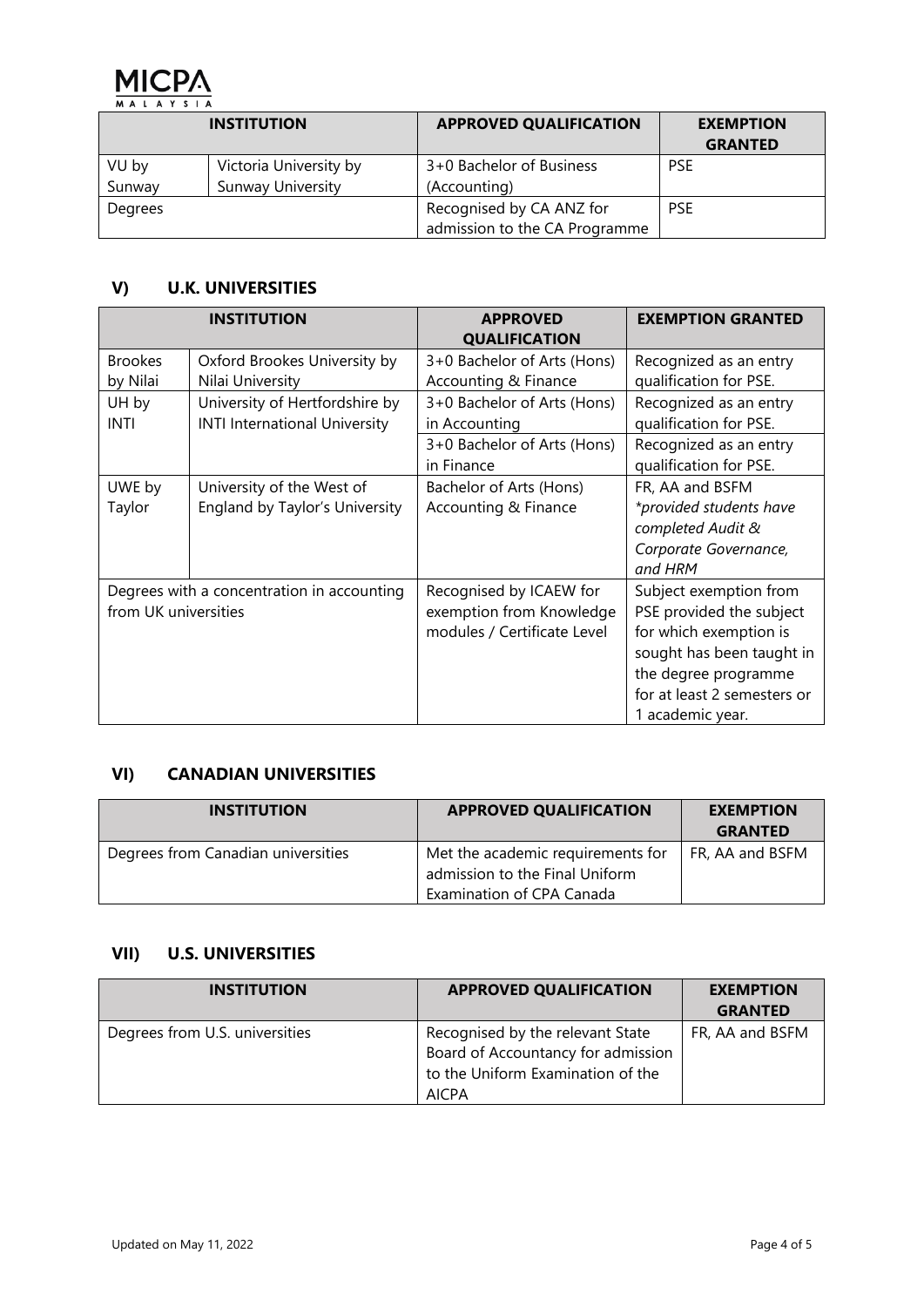

|                 | <b>INSTITUTION</b>                                 | <b>APPROVED QUALIFICATION</b>                             | <b>EXEMPTION</b><br><b>GRANTED</b> |
|-----------------|----------------------------------------------------|-----------------------------------------------------------|------------------------------------|
| VU by<br>Sunway | Victoria University by<br><b>Sunway University</b> | 3+0 Bachelor of Business<br>(Accounting)                  | <b>PSE</b>                         |
| Degrees         |                                                    | Recognised by CA ANZ for<br>admission to the CA Programme | <b>PSE</b>                         |

# **V) U.K. UNIVERSITIES**

| <b>INSTITUTION</b>   |                                            | <b>APPROVED</b><br><b>QUALIFICATION</b> | <b>EXEMPTION GRANTED</b>    |  |
|----------------------|--------------------------------------------|-----------------------------------------|-----------------------------|--|
| <b>Brookes</b>       | Oxford Brookes University by               | 3+0 Bachelor of Arts (Hons)             | Recognized as an entry      |  |
| by Nilai             | Nilai University                           | Accounting & Finance                    | qualification for PSE.      |  |
| UH by                | University of Hertfordshire by             | 3+0 Bachelor of Arts (Hons)             | Recognized as an entry      |  |
| INTI                 | <b>INTI International University</b>       | in Accounting                           | qualification for PSE.      |  |
|                      |                                            | 3+0 Bachelor of Arts (Hons)             | Recognized as an entry      |  |
|                      |                                            | in Finance                              | qualification for PSE.      |  |
| UWE by               | University of the West of                  | Bachelor of Arts (Hons)                 | FR, AA and BSFM             |  |
| Taylor               | England by Taylor's University             | Accounting & Finance                    | *provided students have     |  |
|                      |                                            |                                         | completed Audit &           |  |
|                      |                                            |                                         | Corporate Governance,       |  |
|                      |                                            |                                         | and HRM                     |  |
|                      | Degrees with a concentration in accounting | Recognised by ICAEW for                 | Subject exemption from      |  |
| from UK universities |                                            | exemption from Knowledge                | PSE provided the subject    |  |
|                      |                                            | modules / Certificate Level             | for which exemption is      |  |
|                      |                                            |                                         | sought has been taught in   |  |
|                      |                                            |                                         | the degree programme        |  |
|                      |                                            |                                         | for at least 2 semesters or |  |
|                      |                                            |                                         | 1 academic year.            |  |

#### **VI) CANADIAN UNIVERSITIES**

| <b>INSTITUTION</b>                 | <b>APPROVED QUALIFICATION</b>     | <b>EXEMPTION</b><br><b>GRANTED</b> |
|------------------------------------|-----------------------------------|------------------------------------|
| Degrees from Canadian universities | Met the academic requirements for | FR, AA and BSFM                    |
|                                    | admission to the Final Uniform    |                                    |
|                                    | Examination of CPA Canada         |                                    |

# **VII) U.S. UNIVERSITIES**

| <b>INSTITUTION</b>             | <b>APPROVED QUALIFICATION</b>                                                                                               | <b>EXEMPTION</b><br><b>GRANTED</b> |
|--------------------------------|-----------------------------------------------------------------------------------------------------------------------------|------------------------------------|
| Degrees from U.S. universities | Recognised by the relevant State<br>Board of Accountancy for admission<br>to the Uniform Examination of the<br><b>AICPA</b> | FR, AA and BSFM                    |